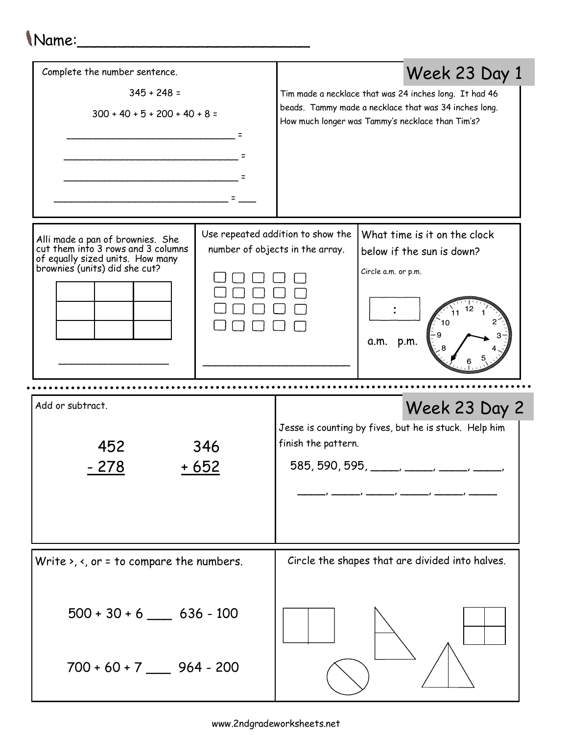## Name:\_\_\_\_\_\_\_\_\_\_\_\_\_\_\_\_\_\_\_\_\_\_\_\_\_

| Complete the number sentence.                                                                                                               |  |                                                                                                                          | Week 23 Day 1                                                                                                                                                       |
|---------------------------------------------------------------------------------------------------------------------------------------------|--|--------------------------------------------------------------------------------------------------------------------------|---------------------------------------------------------------------------------------------------------------------------------------------------------------------|
| $345 + 248 =$<br>$300 + 40 + 5 + 200 + 40 + 8 =$                                                                                            |  |                                                                                                                          | Tim made a necklace that was 24 inches long. It had 46<br>beads. Tammy made a necklace that was 34 inches long.<br>How much longer was Tammy's necklace than Tim's? |
| Alli made a pan of brownies. She<br>cut them into 3 rows and 3 columns<br>of equally sized units. How many<br>brownies (units) did she cut? |  | Use repeated addition to show the<br>number of objects in the array.                                                     | What time is it on the clock<br>below if the sun is down?<br>Circle a.m. or p.m.<br>a.m. p.m.                                                                       |
| Add or subtract.<br>Week 23 Day 2                                                                                                           |  |                                                                                                                          |                                                                                                                                                                     |
| 452<br>346<br>+ 652<br>- 278                                                                                                                |  | Jesse is counting by fives, but he is stuck. Help him<br>finish the pattern.<br>585, 590, 595, _____, ____, _____, _____ |                                                                                                                                                                     |
| Write $\lambda$ , $\lambda$ , or = to compare the numbers.                                                                                  |  | Circle the shapes that are divided into halves.                                                                          |                                                                                                                                                                     |
| $500 + 30 + 6$ _______ 636 - 100<br>$700 + 60 + 7$ ______ 964 - 200                                                                         |  |                                                                                                                          |                                                                                                                                                                     |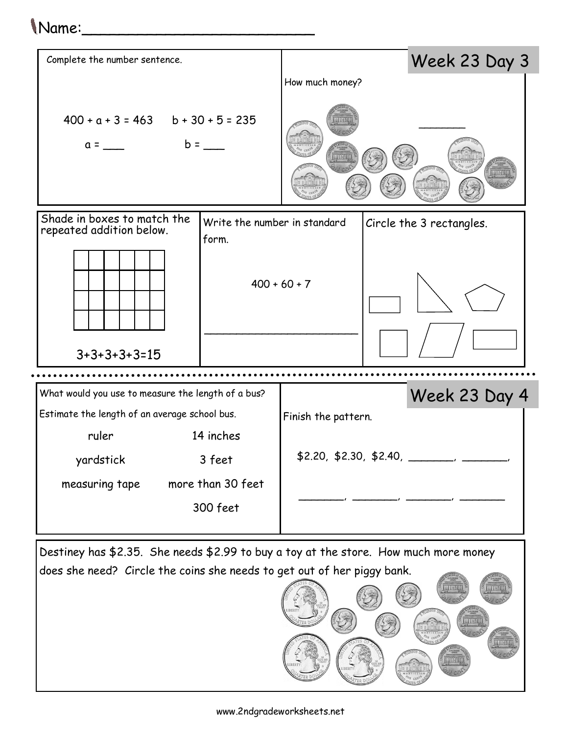## Name:\_\_\_\_\_\_\_\_\_\_\_\_\_\_\_\_\_\_\_\_\_\_\_\_\_



Destiney has \$2.35. She needs \$2.99 to buy a toy at the store. How much more money does she need? Circle the coins she needs to get out of her piggy bank.